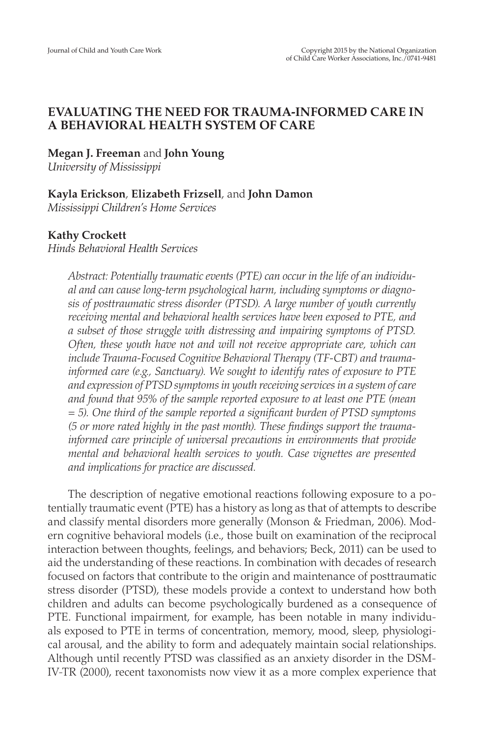# **EVALUATING THE NEED FOR TRAUMA-INFORMED CARE IN A BEHAVIORAL HEALTH SYSTEM OF CARE**

**Megan J. Freeman** and **John Young**

*University of Mississippi*

# **Kayla Erickson**, **Elizabeth Frizsell**, and **John Damon**

*Mississippi Children's Home Services*

# **Kathy Crockett**

*Hinds Behavioral Health Services*

*Abstract: Potentially traumatic events (PTE) can occur in the life of an individual and can cause long-term psychological harm, including symptoms or diagnosis of posttraumatic stress disorder (PTSD). A large number of youth currently receiving mental and behavioral health services have been exposed to PTE, and a subset of those struggle with distressing and impairing symptoms of PTSD. Often, these youth have not and will not receive appropriate care, which can include Trauma-Focused Cognitive Behavioral Therapy (TF-CBT) and traumainformed care (e.g., Sanctuary). We sought to identify rates of exposure to PTE and expression of PTSD symptoms in youth receiving services in a system of care and found that 95% of the sample reported exposure to at least one PTE (mean = 5). One third of the sample reported a significant burden of PTSD symptoms (5 or more rated highly in the past month). These findings support the traumainformed care principle of universal precautions in environments that provide mental and behavioral health services to youth. Case vignettes are presented and implications for practice are discussed.*

The description of negative emotional reactions following exposure to a potentially traumatic event (PTE) has a history as long as that of attempts to describe and classify mental disorders more generally (Monson & Friedman, 2006). Modern cognitive behavioral models (i.e., those built on examination of the reciprocal interaction between thoughts, feelings, and behaviors; Beck, 2011) can be used to aid the understanding of these reactions. In combination with decades of research focused on factors that contribute to the origin and maintenance of posttraumatic stress disorder (PTSD), these models provide a context to understand how both children and adults can become psychologically burdened as a consequence of PTE. Functional impairment, for example, has been notable in many individuals exposed to PTE in terms of concentration, memory, mood, sleep, physiological arousal, and the ability to form and adequately maintain social relationships. Although until recently PTSD was classified as an anxiety disorder in the DSM-IV-TR (2000), recent taxonomists now view it as a more complex experience that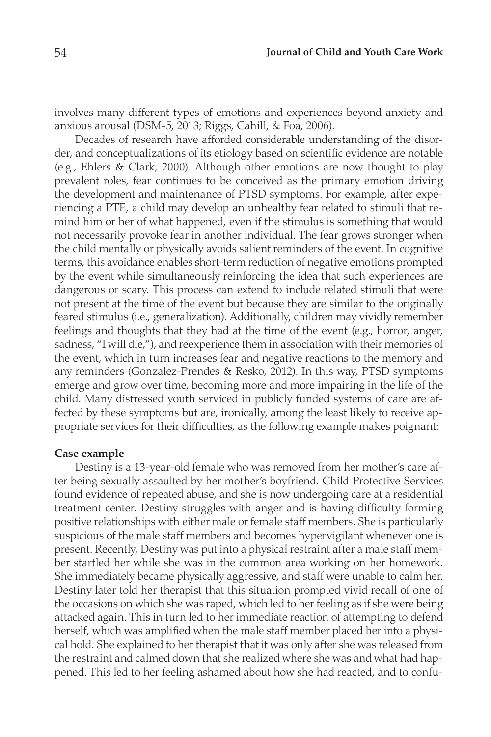involves many different types of emotions and experiences beyond anxiety and anxious arousal (DSM-5, 2013; Riggs, Cahill, & Foa, 2006).

Decades of research have afforded considerable understanding of the disorder, and conceptualizations of its etiology based on scientific evidence are notable (e.g., Ehlers & Clark, 2000). Although other emotions are now thought to play prevalent roles, fear continues to be conceived as the primary emotion driving the development and maintenance of PTSD symptoms. For example, after experiencing a PTE, a child may develop an unhealthy fear related to stimuli that remind him or her of what happened, even if the stimulus is something that would not necessarily provoke fear in another individual. The fear grows stronger when the child mentally or physically avoids salient reminders of the event. In cognitive terms, this avoidance enables short-term reduction of negative emotions prompted by the event while simultaneously reinforcing the idea that such experiences are dangerous or scary. This process can extend to include related stimuli that were not present at the time of the event but because they are similar to the originally feared stimulus (i.e., generalization). Additionally, children may vividly remember feelings and thoughts that they had at the time of the event (e.g., horror, anger, sadness, "I will die,"), and reexperience them in association with their memories of the event, which in turn increases fear and negative reactions to the memory and any reminders (Gonzalez-Prendes & Resko, 2012). In this way, PTSD symptoms emerge and grow over time, becoming more and more impairing in the life of the child. Many distressed youth serviced in publicly funded systems of care are affected by these symptoms but are, ironically, among the least likely to receive appropriate services for their difficulties, as the following example makes poignant:

#### **Case example**

Destiny is a 13-year-old female who was removed from her mother's care after being sexually assaulted by her mother's boyfriend. Child Protective Services found evidence of repeated abuse, and she is now undergoing care at a residential treatment center. Destiny struggles with anger and is having difficulty forming positive relationships with either male or female staff members. She is particularly suspicious of the male staff members and becomes hypervigilant whenever one is present. Recently, Destiny was put into a physical restraint after a male staff member startled her while she was in the common area working on her homework. She immediately became physically aggressive, and staff were unable to calm her. Destiny later told her therapist that this situation prompted vivid recall of one of the occasions on which she was raped, which led to her feeling as if she were being attacked again. This in turn led to her immediate reaction of attempting to defend herself, which was amplified when the male staff member placed her into a physical hold. She explained to her therapist that it was only after she was released from the restraint and calmed down that she realized where she was and what had happened. This led to her feeling ashamed about how she had reacted, and to confu-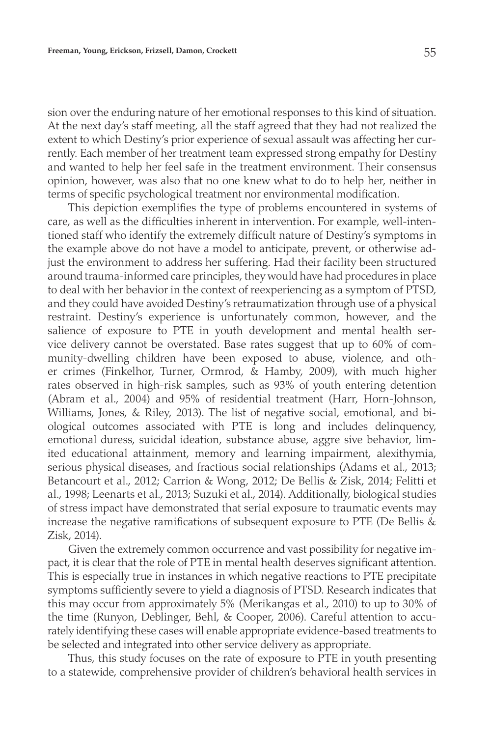sion over the enduring nature of her emotional responses to this kind of situation. At the next day's staff meeting, all the staff agreed that they had not realized the extent to which Destiny's prior experience of sexual assault was affecting her currently. Each member of her treatment team expressed strong empathy for Destiny and wanted to help her feel safe in the treatment environment. Their consensus opinion, however, was also that no one knew what to do to help her, neither in terms of specific psychological treatment nor environmental modification.

This depiction exemplifies the type of problems encountered in systems of care, as well as the difficulties inherent in intervention. For example, well-intentioned staff who identify the extremely difficult nature of Destiny's symptoms in the example above do not have a model to anticipate, prevent, or otherwise adjust the environment to address her suffering. Had their facility been structured around trauma-informed care principles, they would have had procedures in place to deal with her behavior in the context of reexperiencing as a symptom of PTSD, and they could have avoided Destiny's retraumatization through use of a physical restraint. Destiny's experience is unfortunately common, however, and the salience of exposure to PTE in youth development and mental health service delivery cannot be overstated. Base rates suggest that up to 60% of community-dwelling children have been exposed to abuse, violence, and other crimes (Finkelhor, Turner, Ormrod, & Hamby, 2009), with much higher rates observed in high-risk samples, such as 93% of youth entering detention (Abram et al., 2004) and 95% of residential treatment (Harr, Horn-Johnson, Williams, Jones, & Riley, 2013). The list of negative social, emotional, and biological outcomes associated with PTE is long and includes delinquency, emotional duress, suicidal ideation, substance abuse, aggre sive behavior, limited educational attainment, memory and learning impairment, alexithymia, serious physical diseases, and fractious social relationships (Adams et al., 2013; Betancourt et al., 2012; Carrion & Wong, 2012; De Bellis & Zisk, 2014; Felitti et al., 1998; Leenarts et al., 2013; Suzuki et al., 2014). Additionally, biological studies of stress impact have demonstrated that serial exposure to traumatic events may increase the negative ramifications of subsequent exposure to PTE (De Bellis  $\&$ Zisk, 2014).

Given the extremely common occurrence and vast possibility for negative impact, it is clear that the role of PTE in mental health deserves significant attention. This is especially true in instances in which negative reactions to PTE precipitate symptoms sufficiently severe to yield a diagnosis of PTSD. Research indicates that this may occur from approximately 5% (Merikangas et al., 2010) to up to 30% of the time (Runyon, Deblinger, Behl, & Cooper, 2006). Careful attention to accurately identifying these cases will enable appropriate evidence-based treatments to be selected and integrated into other service delivery as appropriate.

Thus, this study focuses on the rate of exposure to PTE in youth presenting to a statewide, comprehensive provider of children's behavioral health services in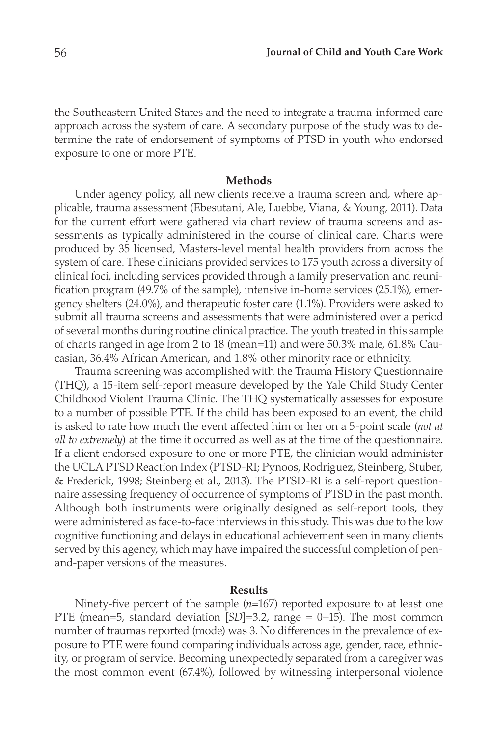the Southeastern United States and the need to integrate a trauma-informed care approach across the system of care. A secondary purpose of the study was to determine the rate of endorsement of symptoms of PTSD in youth who endorsed exposure to one or more PTE.

#### **Methods**

Under agency policy, all new clients receive a trauma screen and, where applicable, trauma assessment (Ebesutani, Ale, Luebbe, Viana, & Young, 2011). Data for the current effort were gathered via chart review of trauma screens and assessments as typically administered in the course of clinical care. Charts were produced by 35 licensed, Masters-level mental health providers from across the system of care. These clinicians provided services to 175 youth across a diversity of clinical foci, including services provided through a family preservation and reunification program (49.7% of the sample), intensive in-home services (25.1%), emergency shelters (24.0%), and therapeutic foster care (1.1%). Providers were asked to submit all trauma screens and assessments that were administered over a period of several months during routine clinical practice. The youth treated in this sample of charts ranged in age from 2 to 18 (mean=11) and were 50.3% male, 61.8% Caucasian, 36.4% African American, and 1.8% other minority race or ethnicity.

Trauma screening was accomplished with the Trauma History Questionnaire (THQ), a 15-item self-report measure developed by the Yale Child Study Center Childhood Violent Trauma Clinic. The THQ systematically assesses for exposure to a number of possible PTE. If the child has been exposed to an event, the child is asked to rate how much the event affected him or her on a 5-point scale (*not at all to extremely*) at the time it occurred as well as at the time of the questionnaire. If a client endorsed exposure to one or more PTE, the clinician would administer the UCLA PTSD Reaction Index (PTSD-RI; Pynoos, Rodriguez, Steinberg, Stuber, & Frederick, 1998; Steinberg et al., 2013). The PTSD-RI is a self-report questionnaire assessing frequency of occurrence of symptoms of PTSD in the past month. Although both instruments were originally designed as self-report tools, they were administered as face-to-face interviews in this study. This was due to the low cognitive functioning and delays in educational achievement seen in many clients served by this agency, which may have impaired the successful completion of penand-paper versions of the measures.

## **Results**

Ninety-five percent of the sample (*n*=167) reported exposure to at least one PTE (mean=5, standard deviation [*SD*]=3.2, range = 0–15). The most common number of traumas reported (mode) was 3. No differences in the prevalence of exposure to PTE were found comparing individuals across age, gender, race, ethnicity, or program of service. Becoming unexpectedly separated from a caregiver was the most common event (67.4%), followed by witnessing interpersonal violence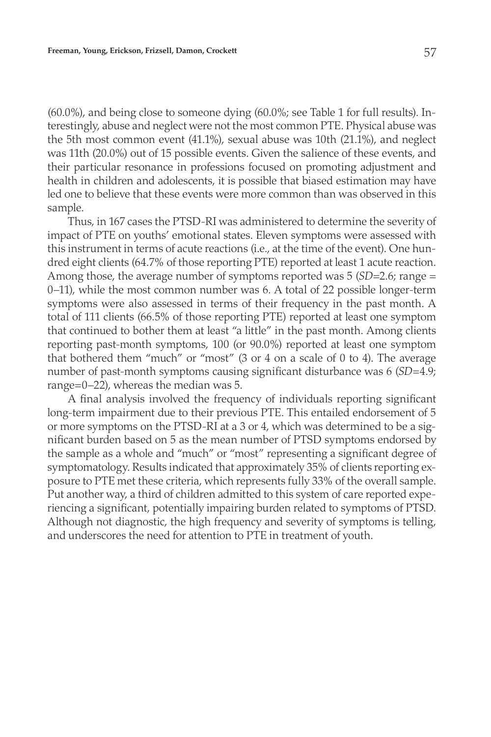(60.0%), and being close to someone dying (60.0%; see Table 1 for full results). Interestingly, abuse and neglect were not the most common PTE. Physical abuse was the 5th most common event (41.1%), sexual abuse was 10th (21.1%), and neglect was 11th (20.0%) out of 15 possible events. Given the salience of these events, and their particular resonance in professions focused on promoting adjustment and health in children and adolescents, it is possible that biased estimation may have led one to believe that these events were more common than was observed in this sample.

Thus, in 167 cases the PTSD-RI was administered to determine the severity of impact of PTE on youths' emotional states. Eleven symptoms were assessed with this instrument in terms of acute reactions (i.e., at the time of the event). One hundred eight clients (64.7% of those reporting PTE) reported at least 1 acute reaction. Among those, the average number of symptoms reported was 5 (*SD*=2.6; range = 0–11), while the most common number was 6. A total of 22 possible longer-term symptoms were also assessed in terms of their frequency in the past month. A total of 111 clients (66.5% of those reporting PTE) reported at least one symptom that continued to bother them at least "a little" in the past month. Among clients reporting past-month symptoms, 100 (or 90.0%) reported at least one symptom that bothered them "much" or "most" (3 or 4 on a scale of 0 to 4). The average number of past-month symptoms causing significant disturbance was 6 (*SD*=4.9; range=0–22), whereas the median was 5.

A final analysis involved the frequency of individuals reporting significant long-term impairment due to their previous PTE. This entailed endorsement of 5 or more symptoms on the PTSD-RI at a 3 or 4, which was determined to be a significant burden based on 5 as the mean number of PTSD symptoms endorsed by the sample as a whole and "much" or "most" representing a significant degree of symptomatology. Results indicated that approximately 35% of clients reporting exposure to PTE met these criteria, which represents fully 33% of the overall sample. Put another way, a third of children admitted to this system of care reported experiencing a significant, potentially impairing burden related to symptoms of PTSD. Although not diagnostic, the high frequency and severity of symptoms is telling, and underscores the need for attention to PTE in treatment of youth.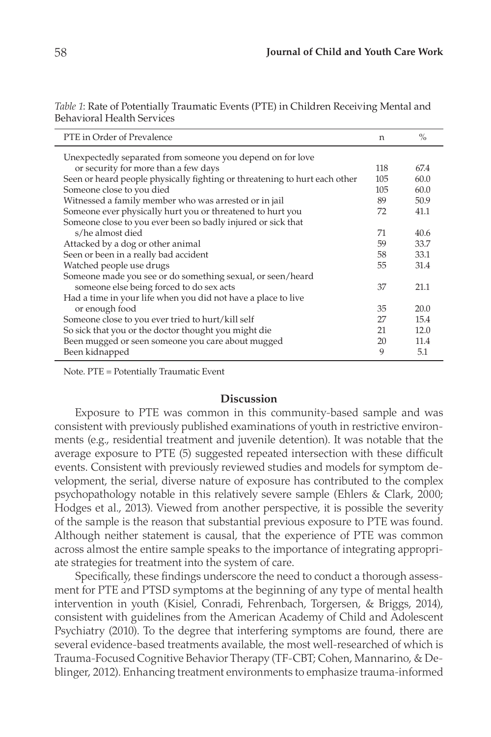| PTE in Order of Prevalence                                                 | n   | $\%$ |
|----------------------------------------------------------------------------|-----|------|
| Unexpectedly separated from someone you depend on for love                 |     |      |
| or security for more than a few days                                       | 118 | 67.4 |
| Seen or heard people physically fighting or threatening to hurt each other | 105 | 60.0 |
| Someone close to you died                                                  | 105 | 60.0 |
| Witnessed a family member who was arrested or in jail                      | 89  | 50.9 |
| Someone ever physically hurt you or threatened to hurt you                 | 72  | 41.1 |
| Someone close to you ever been so badly injured or sick that               |     |      |
| s/he almost died                                                           | 71  | 40.6 |
| Attacked by a dog or other animal                                          | 59  | 33.7 |
| Seen or been in a really bad accident                                      | 58  | 33.1 |
| Watched people use drugs                                                   | 55  | 31.4 |
| Someone made you see or do something sexual, or seen/heard                 |     |      |
| someone else being forced to do sex acts                                   | 37  | 21.1 |
| Had a time in your life when you did not have a place to live              |     |      |
| or enough food                                                             | 35  | 20.0 |
| Someone close to you ever tried to hurt/kill self                          | 27  | 15.4 |
| So sick that you or the doctor thought you might die                       | 21  | 12.0 |
| Been mugged or seen someone you care about mugged                          | 20  | 11.4 |
| Been kidnapped                                                             | 9   | 5.1  |

*Table 1*: Rate of Potentially Traumatic Events (PTE) in Children Receiving Mental and Behavioral Health Services

Note. PTE = Potentially Traumatic Event

#### **Discussion**

Exposure to PTE was common in this community-based sample and was consistent with previously published examinations of youth in restrictive environments (e.g., residential treatment and juvenile detention). It was notable that the average exposure to PTE (5) suggested repeated intersection with these difficult events. Consistent with previously reviewed studies and models for symptom development, the serial, diverse nature of exposure has contributed to the complex psychopathology notable in this relatively severe sample (Ehlers & Clark, 2000; Hodges et al., 2013). Viewed from another perspective, it is possible the severity of the sample is the reason that substantial previous exposure to PTE was found. Although neither statement is causal, that the experience of PTE was common across almost the entire sample speaks to the importance of integrating appropriate strategies for treatment into the system of care.

Specifically, these findings underscore the need to conduct a thorough assessment for PTE and PTSD symptoms at the beginning of any type of mental health intervention in youth (Kisiel, Conradi, Fehrenbach, Torgersen, & Briggs, 2014), consistent with guidelines from the American Academy of Child and Adolescent Psychiatry (2010). To the degree that interfering symptoms are found, there are several evidence-based treatments available, the most well-researched of which is Trauma-Focused Cognitive Behavior Therapy (TF-CBT; Cohen, Mannarino, & Deblinger, 2012). Enhancing treatment environments to emphasize trauma-informed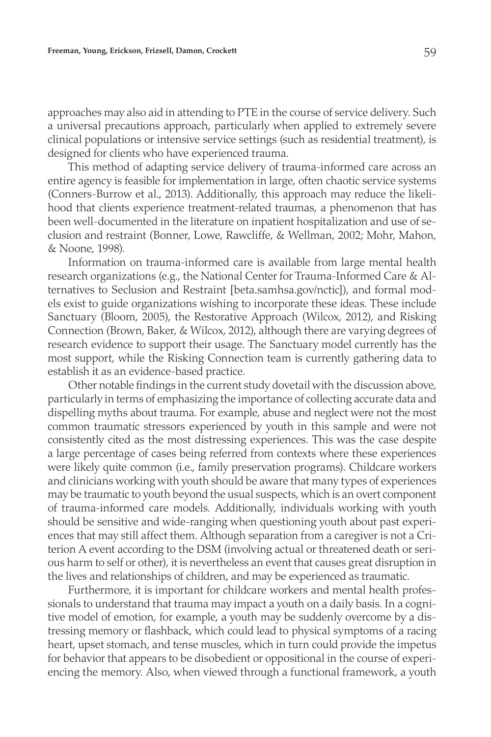approaches may also aid in attending to PTE in the course of service delivery. Such a universal precautions approach, particularly when applied to extremely severe clinical populations or intensive service settings (such as residential treatment), is designed for clients who have experienced trauma.

This method of adapting service delivery of trauma-informed care across an entire agency is feasible for implementation in large, often chaotic service systems (Conners-Burrow et al., 2013). Additionally, this approach may reduce the likelihood that clients experience treatment-related traumas, a phenomenon that has been well-documented in the literature on inpatient hospitalization and use of seclusion and restraint (Bonner, Lowe, Rawcliffe, & Wellman, 2002; Mohr, Mahon, & Noone, 1998).

Information on trauma-informed care is available from large mental health research organizations (e.g., the National Center for Trauma-Informed Care & Alternatives to Seclusion and Restraint [beta.samhsa.gov/nctic]), and formal models exist to guide organizations wishing to incorporate these ideas. These include Sanctuary (Bloom, 2005), the Restorative Approach (Wilcox, 2012), and Risking Connection (Brown, Baker, & Wilcox, 2012), although there are varying degrees of research evidence to support their usage. The Sanctuary model currently has the most support, while the Risking Connection team is currently gathering data to establish it as an evidence-based practice.

Other notable findings in the current study dovetail with the discussion above, particularly in terms of emphasizing the importance of collecting accurate data and dispelling myths about trauma. For example, abuse and neglect were not the most common traumatic stressors experienced by youth in this sample and were not consistently cited as the most distressing experiences. This was the case despite a large percentage of cases being referred from contexts where these experiences were likely quite common (i.e., family preservation programs). Childcare workers and clinicians working with youth should be aware that many types of experiences may be traumatic to youth beyond the usual suspects, which is an overt component of trauma-informed care models. Additionally, individuals working with youth should be sensitive and wide-ranging when questioning youth about past experiences that may still affect them. Although separation from a caregiver is not a Criterion A event according to the DSM (involving actual or threatened death or serious harm to self or other), it is nevertheless an event that causes great disruption in the lives and relationships of children, and may be experienced as traumatic.

Furthermore, it is important for childcare workers and mental health professionals to understand that trauma may impact a youth on a daily basis. In a cognitive model of emotion, for example, a youth may be suddenly overcome by a distressing memory or flashback, which could lead to physical symptoms of a racing heart, upset stomach, and tense muscles, which in turn could provide the impetus for behavior that appears to be disobedient or oppositional in the course of experiencing the memory. Also, when viewed through a functional framework, a youth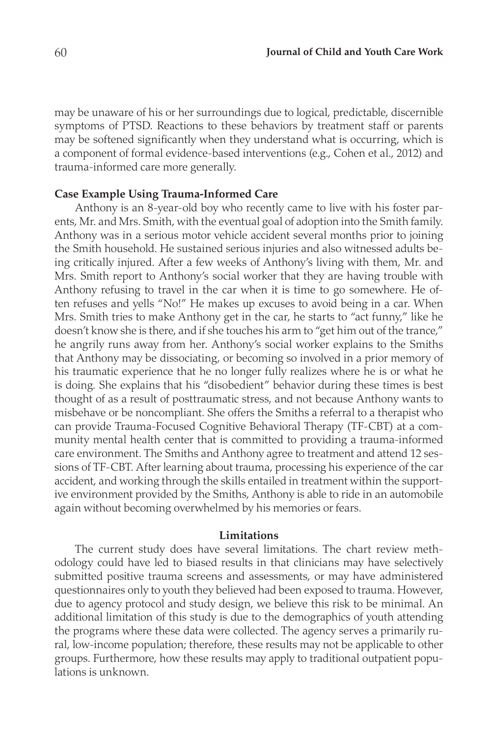may be unaware of his or her surroundings due to logical, predictable, discernible symptoms of PTSD. Reactions to these behaviors by treatment staff or parents may be softened significantly when they understand what is occurring, which is a component of formal evidence-based interventions (e.g., Cohen et al., 2012) and trauma-informed care more generally.

#### **Case Example Using Trauma-Informed Care**

Anthony is an 8-year-old boy who recently came to live with his foster parents, Mr. and Mrs. Smith, with the eventual goal of adoption into the Smith family. Anthony was in a serious motor vehicle accident several months prior to joining the Smith household. He sustained serious injuries and also witnessed adults being critically injured. After a few weeks of Anthony's living with them, Mr. and Mrs. Smith report to Anthony's social worker that they are having trouble with Anthony refusing to travel in the car when it is time to go somewhere. He often refuses and yells "No!" He makes up excuses to avoid being in a car. When Mrs. Smith tries to make Anthony get in the car, he starts to "act funny," like he doesn't know she is there, and if she touches his arm to "get him out of the trance," he angrily runs away from her. Anthony's social worker explains to the Smiths that Anthony may be dissociating, or becoming so involved in a prior memory of his traumatic experience that he no longer fully realizes where he is or what he is doing. She explains that his "disobedient" behavior during these times is best thought of as a result of posttraumatic stress, and not because Anthony wants to misbehave or be noncompliant. She offers the Smiths a referral to a therapist who can provide Trauma-Focused Cognitive Behavioral Therapy (TF-CBT) at a community mental health center that is committed to providing a trauma-informed care environment. The Smiths and Anthony agree to treatment and attend 12 sessions of TF-CBT. After learning about trauma, processing his experience of the car accident, and working through the skills entailed in treatment within the supportive environment provided by the Smiths, Anthony is able to ride in an automobile again without becoming overwhelmed by his memories or fears.

## **Limitations**

The current study does have several limitations. The chart review methodology could have led to biased results in that clinicians may have selectively submitted positive trauma screens and assessments, or may have administered questionnaires only to youth they believed had been exposed to trauma. However, due to agency protocol and study design, we believe this risk to be minimal. An additional limitation of this study is due to the demographics of youth attending the programs where these data were collected. The agency serves a primarily rural, low-income population; therefore, these results may not be applicable to other groups. Furthermore, how these results may apply to traditional outpatient populations is unknown.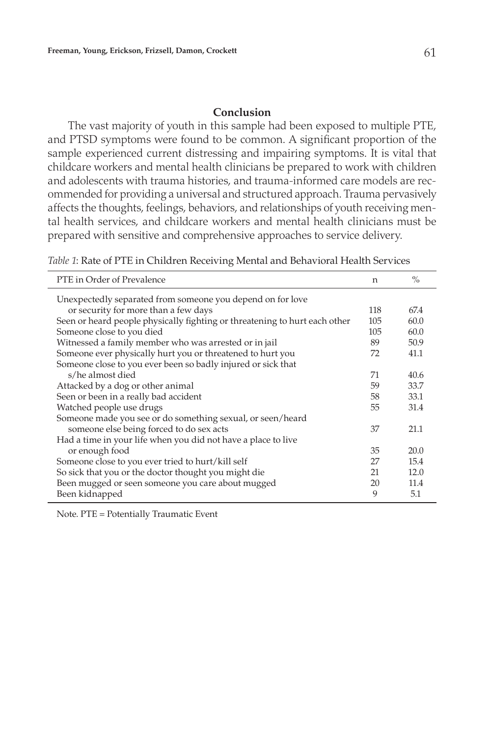### **Conclusion**

The vast majority of youth in this sample had been exposed to multiple PTE, and PTSD symptoms were found to be common. A significant proportion of the sample experienced current distressing and impairing symptoms. It is vital that childcare workers and mental health clinicians be prepared to work with children and adolescents with trauma histories, and trauma-informed care models are recommended for providing a universal and structured approach. Trauma pervasively affects the thoughts, feelings, behaviors, and relationships of youth receiving mental health services, and childcare workers and mental health clinicians must be prepared with sensitive and comprehensive approaches to service delivery.

*Table 1*: Rate of PTE in Children Receiving Mental and Behavioral Health Services

| PTE in Order of Prevalence                                                 | n   | $\frac{0}{0}$ |
|----------------------------------------------------------------------------|-----|---------------|
| Unexpectedly separated from someone you depend on for love                 |     |               |
| or security for more than a few days                                       | 118 | 67.4          |
| Seen or heard people physically fighting or threatening to hurt each other | 105 | 60.0          |
| Someone close to you died                                                  | 105 | 60.0          |
| Witnessed a family member who was arrested or in jail                      | 89  | 50.9          |
| Someone ever physically hurt you or threatened to hurt you                 | 72  | 41.1          |
| Someone close to you ever been so badly injured or sick that               |     |               |
| s/he almost died                                                           | 71  | 40.6          |
| Attacked by a dog or other animal                                          | 59  | 33.7          |
| Seen or been in a really bad accident                                      | 58  | 33.1          |
| Watched people use drugs                                                   | 55  | 31.4          |
| Someone made you see or do something sexual, or seen/heard                 |     |               |
| someone else being forced to do sex acts                                   | 37  | 21.1          |
| Had a time in your life when you did not have a place to live              |     |               |
| or enough food                                                             | 35  | 20.0          |
| Someone close to you ever tried to hurt/kill self                          | 27  | 15.4          |
| So sick that you or the doctor thought you might die                       | 21  | 12.0          |
| Been mugged or seen someone you care about mugged                          | 20  | 11.4          |
| Been kidnapped                                                             | 9   | 5.1           |

Note. PTE = Potentially Traumatic Event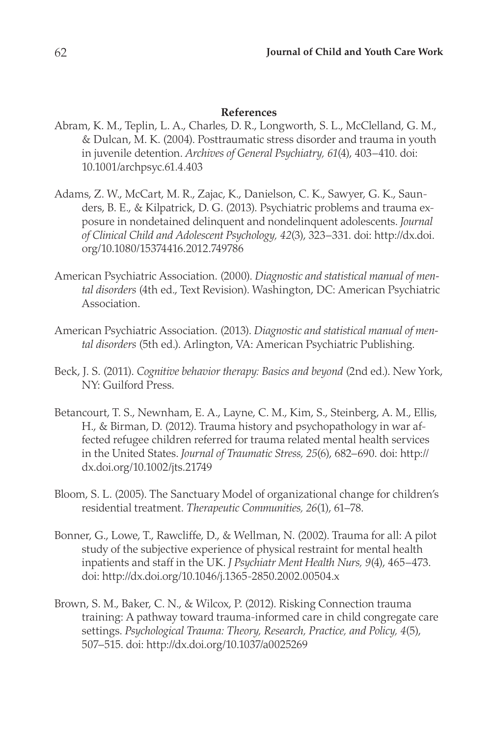# **References**

- Abram, K. M., Teplin, L. A., Charles, D. R., Longworth, S. L., McClelland, G. M., & Dulcan, M. K. (2004). Posttraumatic stress disorder and trauma in youth in juvenile detention. *Archives of General Psychiatry, 61*(4), 403–410. doi: 10.1001/archpsyc.61.4.403
- Adams, Z. W., McCart, M. R., Zajac, K., Danielson, C. K., Sawyer, G. K., Saunders, B. E., & Kilpatrick, D. G. (2013). Psychiatric problems and trauma exposure in nondetained delinquent and nondelinquent adolescents. *Journal of Clinical Child and Adolescent Psychology, 42*(3), 323–331. doi: http://dx.doi. org/10.1080/15374416.2012.749786
- American Psychiatric Association. (2000). *Diagnostic and statistical manual of mental disorders* (4th ed., Text Revision). Washington, DC: American Psychiatric Association.
- American Psychiatric Association. (2013). *Diagnostic and statistical manual of mental disorders* (5th ed.). Arlington, VA: American Psychiatric Publishing.
- Beck, J. S. (2011). *Cognitive behavior therapy: Basics and beyond* (2nd ed.). New York, NY: Guilford Press.
- Betancourt, T. S., Newnham, E. A., Layne, C. M., Kim, S., Steinberg, A. M., Ellis, H., & Birman, D. (2012). Trauma history and psychopathology in war affected refugee children referred for trauma related mental health services in the United States. *Journal of Traumatic Stress, 25*(6), 682–690. doi: http:// dx.doi.org/10.1002/jts.21749
- Bloom, S. L. (2005). The Sanctuary Model of organizational change for children's residential treatment. *Therapeutic Communities, 26*(1), 61–78.
- Bonner, G., Lowe, T., Rawcliffe, D., & Wellman, N. (2002). Trauma for all: A pilot study of the subjective experience of physical restraint for mental health inpatients and staff in the UK. *J Psychiatr Ment Health Nurs, 9*(4), 465–473. doi: http://dx.doi.org/10.1046/j.1365-2850.2002.00504.x
- Brown, S. M., Baker, C. N., & Wilcox, P. (2012). Risking Connection trauma training: A pathway toward trauma-informed care in child congregate care settings. *Psychological Trauma: Theory, Research, Practice, and Policy, 4*(5), 507–515. doi: http://dx.doi.org/10.1037/a0025269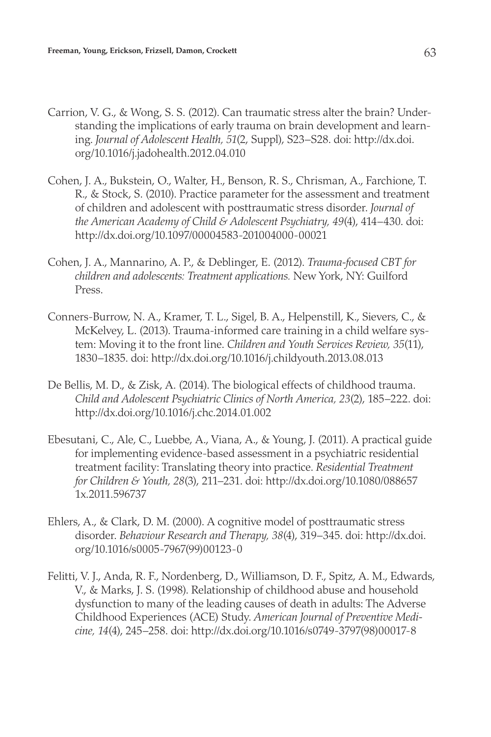- Carrion, V. G., & Wong, S. S. (2012). Can traumatic stress alter the brain? Understanding the implications of early trauma on brain development and learning. *Journal of Adolescent Health, 51*(2, Suppl), S23–S28. doi: http://dx.doi. org/10.1016/j.jadohealth.2012.04.010
- Cohen, J. A., Bukstein, O., Walter, H., Benson, R. S., Chrisman, A., Farchione, T. R., & Stock, S. (2010). Practice parameter for the assessment and treatment of children and adolescent with posttraumatic stress disorder. *Journal of the American Academy of Child & Adolescent Psychiatry, 49*(4), 414–430. doi: http://dx.doi.org/10.1097/00004583-201004000-00021
- Cohen, J. A., Mannarino, A. P., & Deblinger, E. (2012). *Trauma-focused CBT for children and adolescents: Treatment applications.* New York, NY: Guilford Press.
- Conners-Burrow, N. A., Kramer, T. L., Sigel, B. A., Helpenstill, K., Sievers, C., & McKelvey, L. (2013). Trauma-informed care training in a child welfare system: Moving it to the front line. *Children and Youth Services Review, 35*(11), 1830–1835. doi: http://dx.doi.org/10.1016/j.childyouth.2013.08.013
- De Bellis, M. D., & Zisk, A. (2014). The biological effects of childhood trauma. *Child and Adolescent Psychiatric Clinics of North America, 23*(2), 185–222. doi: http://dx.doi.org/10.1016/j.chc.2014.01.002
- Ebesutani, C., Ale, C., Luebbe, A., Viana, A., & Young, J. (2011). A practical guide for implementing evidence-based assessment in a psychiatric residential treatment facility: Translating theory into practice. *Residential Treatment for Children & Youth, 28*(3), 211–231. doi: http://dx.doi.org/10.1080/088657 1x.2011.596737
- Ehlers, A., & Clark, D. M. (2000). A cognitive model of posttraumatic stress disorder. *Behaviour Research and Therapy, 38*(4), 319–345. doi: http://dx.doi. org/10.1016/s0005-7967(99)00123-0
- Felitti, V. J., Anda, R. F., Nordenberg, D., Williamson, D. F., Spitz, A. M., Edwards, V., & Marks, J. S. (1998). Relationship of childhood abuse and household dysfunction to many of the leading causes of death in adults: The Adverse Childhood Experiences (ACE) Study. *American Journal of Preventive Medicine, 14*(4), 245–258. doi: http://dx.doi.org/10.1016/s0749-3797(98)00017-8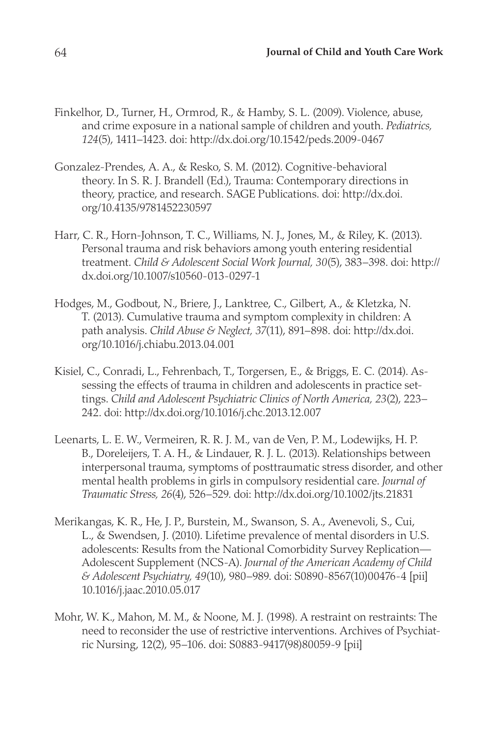- Finkelhor, D., Turner, H., Ormrod, R., & Hamby, S. L. (2009). Violence, abuse, and crime exposure in a national sample of children and youth. *Pediatrics, 124*(5), 1411–1423. doi: http://dx.doi.org/10.1542/peds.2009-0467
- Gonzalez-Prendes, A. A., & Resko, S. M. (2012). Cognitive-behavioral theory. In S. R. J. Brandell (Ed.), Trauma: Contemporary directions in theory, practice, and research. SAGE Publications. doi: http://dx.doi. org/10.4135/9781452230597
- Harr, C. R., Horn-Johnson, T. C., Williams, N. J., Jones, M., & Riley, K. (2013). Personal trauma and risk behaviors among youth entering residential treatment. *Child & Adolescent Social Work Journal, 30*(5), 383–398. doi: http:// dx.doi.org/10.1007/s10560-013-0297-1
- Hodges, M., Godbout, N., Briere, J., Lanktree, C., Gilbert, A., & Kletzka, N. T. (2013). Cumulative trauma and symptom complexity in children: A path analysis. *Child Abuse & Neglect, 37*(11), 891–898. doi: http://dx.doi. org/10.1016/j.chiabu.2013.04.001
- Kisiel, C., Conradi, L., Fehrenbach, T., Torgersen, E., & Briggs, E. C. (2014). Assessing the effects of trauma in children and adolescents in practice settings. *Child and Adolescent Psychiatric Clinics of North America, 23*(2), 223– 242. doi: http://dx.doi.org/10.1016/j.chc.2013.12.007
- Leenarts, L. E. W., Vermeiren, R. R. J. M., van de Ven, P. M., Lodewijks, H. P. B., Doreleijers, T. A. H., & Lindauer, R. J. L. (2013). Relationships between interpersonal trauma, symptoms of posttraumatic stress disorder, and other mental health problems in girls in compulsory residential care. *Journal of Traumatic Stress, 26*(4), 526–529. doi: http://dx.doi.org/10.1002/jts.21831
- Merikangas, K. R., He, J. P., Burstein, M., Swanson, S. A., Avenevoli, S., Cui, L., & Swendsen, J. (2010). Lifetime prevalence of mental disorders in U.S. adolescents: Results from the National Comorbidity Survey Replication— Adolescent Supplement (NCS-A). *Journal of the American Academy of Child & Adolescent Psychiatry, 49*(10), 980–989. doi: S0890-8567(10)00476-4 [pii] 10.1016/j.jaac.2010.05.017
- Mohr, W. K., Mahon, M. M., & Noone, M. J. (1998). A restraint on restraints: The need to reconsider the use of restrictive interventions. Archives of Psychiatric Nursing, 12(2), 95–106. doi: S0883-9417(98)80059-9 [pii]